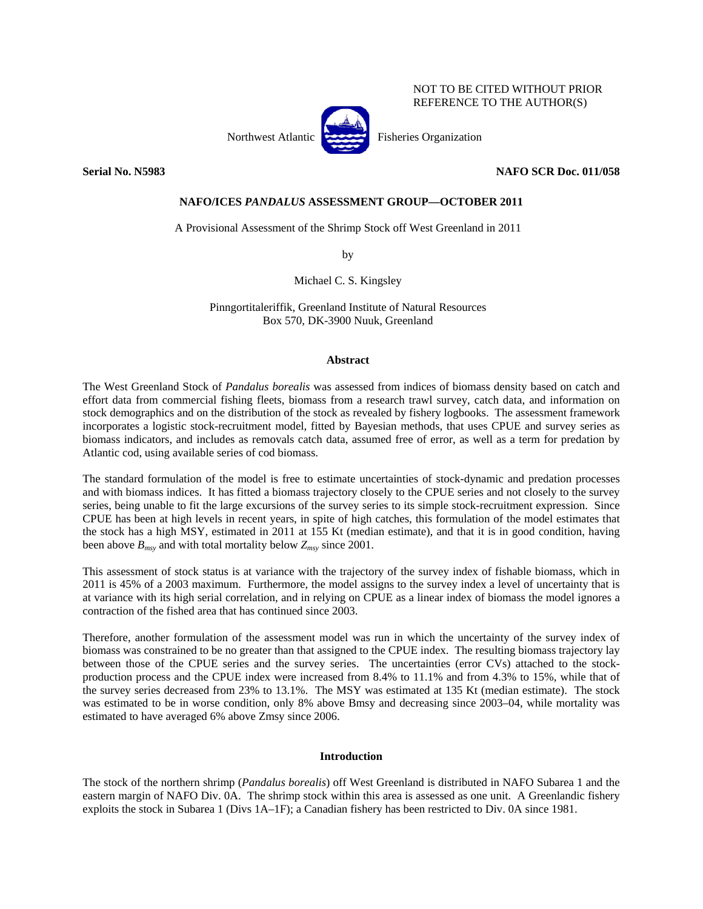# NOT TO BE CITED WITHOUT PRIOR REFERENCE TO THE AUTHOR(S)



Northwest Atlantic Fisheries Organization

# **Serial No. N5983 NAFO SCR Doc. 011/058**

# **NAFO/ICES** *PANDALUS* **ASSESSMENT GROUP—OCTOBER 2011**

A Provisional Assessment of the Shrimp Stock off West Greenland in 2011

by

Michael C. S. Kingsley

Pinngortitaleriffik, Greenland Institute of Natural Resources Box 570, DK-3900 Nuuk, Greenland

## **Abstract**

The West Greenland Stock of *Pandalus borealis* was assessed from indices of biomass density based on catch and effort data from commercial fishing fleets, biomass from a research trawl survey, catch data, and information on stock demographics and on the distribution of the stock as revealed by fishery logbooks. The assessment framework incorporates a logistic stock-recruitment model, fitted by Bayesian methods, that uses CPUE and survey series as biomass indicators, and includes as removals catch data, assumed free of error, as well as a term for predation by Atlantic cod, using available series of cod biomass.

The standard formulation of the model is free to estimate uncertainties of stock-dynamic and predation processes and with biomass indices. It has fitted a biomass trajectory closely to the CPUE series and not closely to the survey series, being unable to fit the large excursions of the survey series to its simple stock-recruitment expression. Since CPUE has been at high levels in recent years, in spite of high catches, this formulation of the model estimates that the stock has a high MSY, estimated in 2011 at 155 Kt (median estimate), and that it is in good condition, having been above  $B_{msy}$  and with total mortality below  $Z_{msy}$  since 2001.

This assessment of stock status is at variance with the trajectory of the survey index of fishable biomass, which in 2011 is 45% of a 2003 maximum. Furthermore, the model assigns to the survey index a level of uncertainty that is at variance with its high serial correlation, and in relying on CPUE as a linear index of biomass the model ignores a contraction of the fished area that has continued since 2003.

Therefore, another formulation of the assessment model was run in which the uncertainty of the survey index of biomass was constrained to be no greater than that assigned to the CPUE index. The resulting biomass trajectory lay between those of the CPUE series and the survey series. The uncertainties (error CVs) attached to the stockproduction process and the CPUE index were increased from 8.4% to 11.1% and from 4.3% to 15%, while that of the survey series decreased from 23% to 13.1%. The MSY was estimated at 135 Kt (median estimate). The stock was estimated to be in worse condition, only 8% above Bmsy and decreasing since 2003–04, while mortality was estimated to have averaged 6% above Zmsy since 2006.

# **Introduction**

The stock of the northern shrimp (*Pandalus borealis*) off West Greenland is distributed in NAFO Subarea 1 and the eastern margin of NAFO Div. 0A. The shrimp stock within this area is assessed as one unit. A Greenlandic fishery exploits the stock in Subarea 1 (Divs 1A–1F); a Canadian fishery has been restricted to Div. 0A since 1981.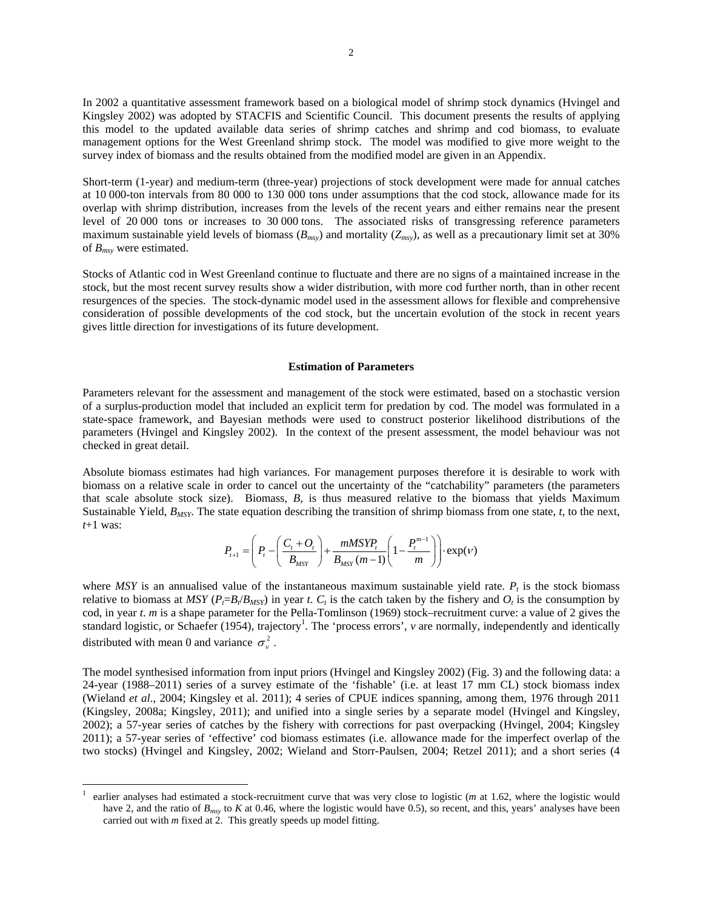In 2002 a quantitative assessment framework based on a biological model of shrimp stock dynamics (Hvingel and Kingsley 2002) was adopted by STACFIS and Scientific Council. This document presents the results of applying this model to the updated available data series of shrimp catches and shrimp and cod biomass, to evaluate management options for the West Greenland shrimp stock. The model was modified to give more weight to the survey index of biomass and the results obtained from the modified model are given in an Appendix.

Short-term (1-year) and medium-term (three-year) projections of stock development were made for annual catches at 10 000-ton intervals from 80 000 to 130 000 tons under assumptions that the cod stock, allowance made for its overlap with shrimp distribution, increases from the levels of the recent years and either remains near the present level of 20 000 tons or increases to 30 000 tons. The associated risks of transgressing reference parameters maximum sustainable yield levels of biomass  $(B_{msy})$  and mortality  $(Z_{msy})$ , as well as a precautionary limit set at 30% of *Bmsy* were estimated.

Stocks of Atlantic cod in West Greenland continue to fluctuate and there are no signs of a maintained increase in the stock, but the most recent survey results show a wider distribution, with more cod further north, than in other recent resurgences of the species. The stock-dynamic model used in the assessment allows for flexible and comprehensive consideration of possible developments of the cod stock, but the uncertain evolution of the stock in recent years gives little direction for investigations of its future development.

## **Estimation of Parameters**

Parameters relevant for the assessment and management of the stock were estimated, based on a stochastic version of a surplus-production model that included an explicit term for predation by cod. The model was formulated in a state-space framework, and Bayesian methods were used to construct posterior likelihood distributions of the parameters (Hvingel and Kingsley 2002). In the context of the present assessment, the model behaviour was not checked in great detail.

Absolute biomass estimates had high variances. For management purposes therefore it is desirable to work with biomass on a relative scale in order to cancel out the uncertainty of the "catchability" parameters (the parameters that scale absolute stock size). Biomass, *B*, is thus measured relative to the biomass that yields Maximum Sustainable Yield, *BMSY*. The state equation describing the transition of shrimp biomass from one state, *t*, to the next, *t*+1 was:

$$
P_{t+1} = \left(P_t - \left(\frac{C_t + O_t}{B_{MST}}\right) + \frac{mMSYP_t}{B_{MST}(m-1)} \left(1 - \frac{P_t^{m-1}}{m}\right)\right) \cdot \exp(V)
$$

where *MSY* is an annualised value of the instantaneous maximum sustainable yield rate.  $P_t$  is the stock biomass relative to biomass at *MSY* ( $P_f = B_f / B_{MSY}$ ) in year *t*.  $C_t$  is the catch taken by the fishery and  $O_t$  is the consumption by cod, in year *t*. *m* is a shape parameter for the Pella-Tomlinson (1969) stock–recruitment curve: a value of 2 gives the standard logistic, or Schaefer (1954), trajectory<sup>1</sup>. The 'process errors', *v* are normally, independently and identically distributed with mean 0 and variance  $\sigma_v^2$ .

The model synthesised information from input priors (Hvingel and Kingsley 2002) (Fig. 3) and the following data: a 24-year (1988–2011) series of a survey estimate of the 'fishable' (i.e. at least 17 mm CL) stock biomass index (Wieland *et al*., 2004; Kingsley et al. 2011); 4 series of CPUE indices spanning, among them, 1976 through 2011 (Kingsley, 2008a; Kingsley, 2011); and unified into a single series by a separate model (Hvingel and Kingsley, 2002); a 57-year series of catches by the fishery with corrections for past overpacking (Hvingel, 2004; Kingsley 2011); a 57-year series of 'effective' cod biomass estimates (i.e. allowance made for the imperfect overlap of the two stocks) (Hvingel and Kingsley, 2002; Wieland and Storr-Paulsen, 2004; Retzel 2011); and a short series (4

 $\overline{a}$ 

<sup>1</sup> earlier analyses had estimated a stock-recruitment curve that was very close to logistic (*m* at 1.62, where the logistic would have 2, and the ratio of  $B_{msv}$  to *K* at 0.46, where the logistic would have 0.5), so recent, and this, years' analyses have been carried out with *m* fixed at 2. This greatly speeds up model fitting.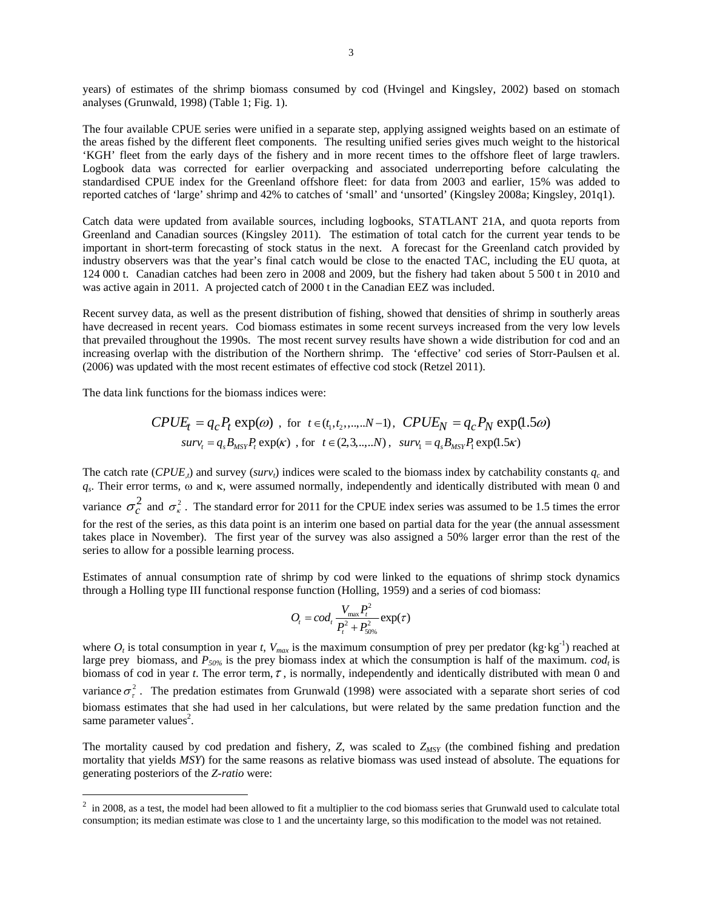years) of estimates of the shrimp biomass consumed by cod (Hvingel and Kingsley, 2002) based on stomach analyses (Grunwald, 1998) (Table 1; Fig. 1).

The four available CPUE series were unified in a separate step, applying assigned weights based on an estimate of the areas fished by the different fleet components. The resulting unified series gives much weight to the historical 'KGH' fleet from the early days of the fishery and in more recent times to the offshore fleet of large trawlers. Logbook data was corrected for earlier overpacking and associated underreporting before calculating the standardised CPUE index for the Greenland offshore fleet: for data from 2003 and earlier, 15% was added to reported catches of 'large' shrimp and 42% to catches of 'small' and 'unsorted' (Kingsley 2008a; Kingsley, 201q1).

Catch data were updated from available sources, including logbooks, STATLANT 21A, and quota reports from Greenland and Canadian sources (Kingsley 2011). The estimation of total catch for the current year tends to be important in short-term forecasting of stock status in the next. A forecast for the Greenland catch provided by industry observers was that the year's final catch would be close to the enacted TAC, including the EU quota, at 124 000 t. Canadian catches had been zero in 2008 and 2009, but the fishery had taken about 5 500 t in 2010 and was active again in 2011. A projected catch of 2000 t in the Canadian EEZ was included.

Recent survey data, as well as the present distribution of fishing, showed that densities of shrimp in southerly areas have decreased in recent years. Cod biomass estimates in some recent surveys increased from the very low levels that prevailed throughout the 1990s. The most recent survey results have shown a wide distribution for cod and an increasing overlap with the distribution of the Northern shrimp. The 'effective' cod series of Storr-Paulsen et al. (2006) was updated with the most recent estimates of effective cod stock (Retzel 2011).

The data link functions for the biomass indices were:

 $\overline{a}$ 

$$
CPUE_t = q_c P_t \exp(\omega) \text{ , for } t \in (t_1, t_2, \dots, N-1), \text{ } CPUE_N = q_c P_N \exp(1.5\omega)
$$
  

$$
surv_t = q_s B_{MST} P_t \exp(\kappa) \text{ , for } t \in (2, 3, \dots, N), \text{ } surv_t = q_s B_{MST} P_t \exp(1.5\kappa)
$$

The catch rate (*CPUE<sub>x</sub>*) and survey (*surv<sub>t</sub>*) indices were scaled to the biomass index by catchability constants  $q_c$  and *qs*. Their error terms, ω and κ, were assumed normally, independently and identically distributed with mean 0 and variance  $\sigma_c^2$  and  $\sigma_{\kappa}^2$ . The standard error for 2011 for the CPUE index series was assumed to be 1.5 times the error for the rest of the series, as this data point is an interim one based on partial data for the year (the annual assessment takes place in November). The first year of the survey was also assigned a 50% larger error than the rest of the series to allow for a possible learning process.

Estimates of annual consumption rate of shrimp by cod were linked to the equations of shrimp stock dynamics through a Holling type III functional response function (Holling, 1959) and a series of cod biomass:

$$
O_t = cod_t \frac{V_{\text{max}} P_t^2}{P_t^2 + P_{50\%}^2} \exp(\tau)
$$

where  $O_t$  is total consumption in year *t*,  $V_{max}$  is the maximum consumption of prey per predator (kg·kg<sup>-1</sup>) reached at large prey biomass, and  $P_{50\%}$  is the prey biomass index at which the consumption is half of the maximum. *cod<sub>t</sub>* is biomass of cod in year *t*. The error term,  $\tau$ , is normally, independently and identically distributed with mean 0 and variance  $\sigma_r^2$ . The predation estimates from Grunwald (1998) were associated with a separate short series of cod biomass estimates that she had used in her calculations, but were related by the same predation function and the same parameter values<sup>2</sup>.

The mortality caused by cod predation and fishery, *Z*, was scaled to *ZMSY* (the combined fishing and predation mortality that yields *MSY*) for the same reasons as relative biomass was used instead of absolute. The equations for generating posteriors of the *Z-ratio* were:

 $2 \text{ in 2008, as a test, the model had been allowed to fit a multiplier to the cod biomass series that Grunwald used to calculate total.}$ consumption; its median estimate was close to 1 and the uncertainty large, so this modification to the model was not retained.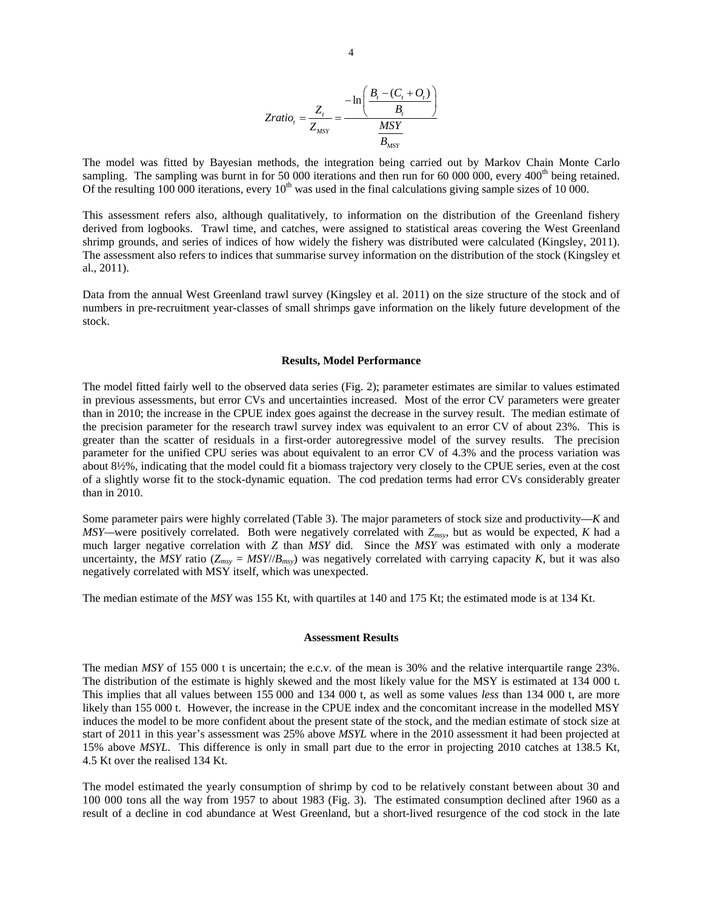$$
Zratio_{t} = \frac{Z_{t}}{Z_{MSY}} = \frac{-\ln\left(\frac{B_{t} - (C_{t} + O_{t})}{B_{t}}\right)}{\frac{MSY}{B_{MSY}}}
$$

The model was fitted by Bayesian methods, the integration being carried out by Markov Chain Monte Carlo sampling. The sampling was burnt in for 50 000 iterations and then run for 60 000 000, every  $400<sup>th</sup>$  being retained. Of the resulting 100 000 iterations, every  $10<sup>th</sup>$  was used in the final calculations giving sample sizes of 10 000.

This assessment refers also, although qualitatively, to information on the distribution of the Greenland fishery derived from logbooks. Trawl time, and catches, were assigned to statistical areas covering the West Greenland shrimp grounds, and series of indices of how widely the fishery was distributed were calculated (Kingsley, 2011). The assessment also refers to indices that summarise survey information on the distribution of the stock (Kingsley et al., 2011).

Data from the annual West Greenland trawl survey (Kingsley et al. 2011) on the size structure of the stock and of numbers in pre-recruitment year-classes of small shrimps gave information on the likely future development of the stock.

#### **Results, Model Performance**

The model fitted fairly well to the observed data series (Fig. 2); parameter estimates are similar to values estimated in previous assessments, but error CVs and uncertainties increased. Most of the error CV parameters were greater than in 2010; the increase in the CPUE index goes against the decrease in the survey result. The median estimate of the precision parameter for the research trawl survey index was equivalent to an error CV of about 23%. This is greater than the scatter of residuals in a first-order autoregressive model of the survey results. The precision parameter for the unified CPU series was about equivalent to an error CV of 4.3% and the process variation was about 8½%, indicating that the model could fit a biomass trajectory very closely to the CPUE series, even at the cost of a slightly worse fit to the stock-dynamic equation. The cod predation terms had error CVs considerably greater than in 2010.

Some parameter pairs were highly correlated (Table 3). The major parameters of stock size and productivity—*K* and *MSY—*were positively correlated. Both were negatively correlated with *Zmsy*, but as would be expected, *K* had a much larger negative correlation with *Z* than *MSY* did. Since the *MSY* was estimated with only a moderate uncertainty, the *MSY* ratio ( $Z_{msy} = MSY/(B_{msy})$  was negatively correlated with carrying capacity *K*, but it was also negatively correlated with MSY itself, which was unexpected.

The median estimate of the *MSY* was 155 Kt, with quartiles at 140 and 175 Kt; the estimated mode is at 134 Kt.

### **Assessment Results**

The median *MSY* of 155 000 t is uncertain; the e.c.v. of the mean is 30% and the relative interquartile range 23%. The distribution of the estimate is highly skewed and the most likely value for the MSY is estimated at 134 000 t. This implies that all values between 155 000 and 134 000 t, as well as some values *less* than 134 000 t, are more likely than 155 000 t. However, the increase in the CPUE index and the concomitant increase in the modelled MSY induces the model to be more confident about the present state of the stock, and the median estimate of stock size at start of 2011 in this year's assessment was 25% above *MSYL* where in the 2010 assessment it had been projected at 15% above *MSYL*. This difference is only in small part due to the error in projecting 2010 catches at 138.5 Kt, 4.5 Kt over the realised 134 Kt.

The model estimated the yearly consumption of shrimp by cod to be relatively constant between about 30 and 100 000 tons all the way from 1957 to about 1983 (Fig. 3). The estimated consumption declined after 1960 as a result of a decline in cod abundance at West Greenland, but a short-lived resurgence of the cod stock in the late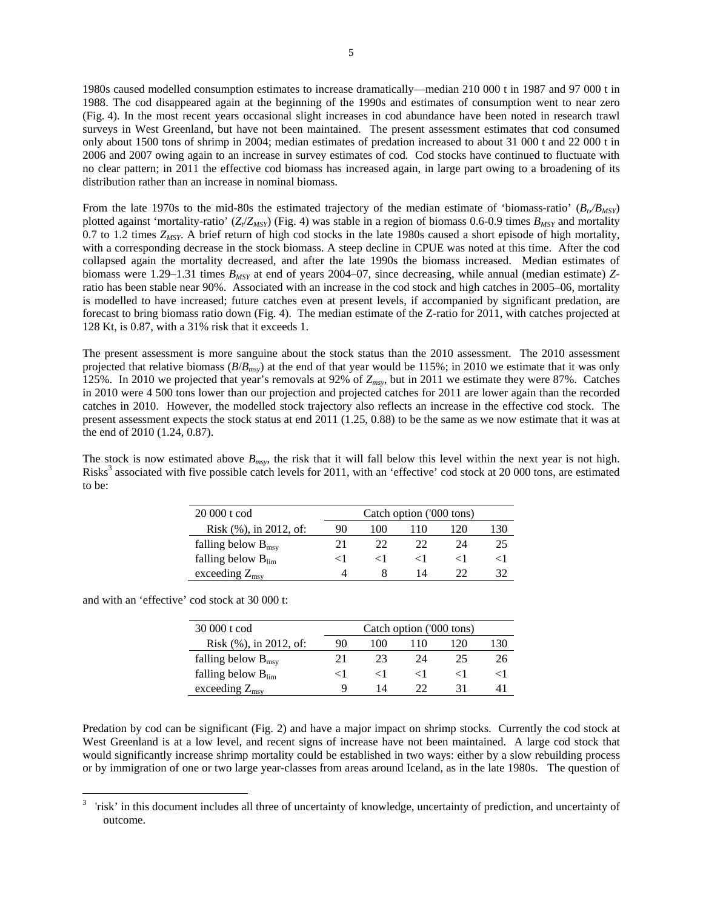1980s caused modelled consumption estimates to increase dramatically—median 210 000 t in 1987 and 97 000 t in 1988. The cod disappeared again at the beginning of the 1990s and estimates of consumption went to near zero (Fig. 4). In the most recent years occasional slight increases in cod abundance have been noted in research trawl surveys in West Greenland, but have not been maintained. The present assessment estimates that cod consumed only about 1500 tons of shrimp in 2004; median estimates of predation increased to about 31 000 t and 22 000 t in 2006 and 2007 owing again to an increase in survey estimates of cod. Cod stocks have continued to fluctuate with no clear pattern; in 2011 the effective cod biomass has increased again, in large part owing to a broadening of its distribution rather than an increase in nominal biomass.

From the late 1970s to the mid-80s the estimated trajectory of the median estimate of 'biomass-ratio'  $(B_p/B_{MST})$ plotted against 'mortality-ratio'  $(Z/Z_{MSY})$  (Fig. 4) was stable in a region of biomass 0.6-0.9 times  $B_{MSY}$  and mortality 0.7 to 1.2 times *ZMSY*. A brief return of high cod stocks in the late 1980s caused a short episode of high mortality, with a corresponding decrease in the stock biomass. A steep decline in CPUE was noted at this time. After the cod collapsed again the mortality decreased, and after the late 1990s the biomass increased. Median estimates of biomass were 1.29–1.31 times *BMSY* at end of years 2004–07, since decreasing, while annual (median estimate) *Z*ratio has been stable near 90%. Associated with an increase in the cod stock and high catches in 2005–06, mortality is modelled to have increased; future catches even at present levels, if accompanied by significant predation, are forecast to bring biomass ratio down (Fig. 4). The median estimate of the Z-ratio for 2011, with catches projected at 128 Kt, is 0.87, with a 31% risk that it exceeds 1.

The present assessment is more sanguine about the stock status than the 2010 assessment. The 2010 assessment projected that relative biomass (*B*/*Bmsy*) at the end of that year would be 115%; in 2010 we estimate that it was only 125%. In 2010 we projected that year's removals at 92% of *Zmsy*, but in 2011 we estimate they were 87%. Catches in 2010 were 4 500 tons lower than our projection and projected catches for 2011 are lower again than the recorded catches in 2010. However, the modelled stock trajectory also reflects an increase in the effective cod stock. The present assessment expects the stock status at end 2011 (1.25, 0.88) to be the same as we now estimate that it was at the end of 2010 (1.24, 0.87).

The stock is now estimated above  $B_{msv}$ , the risk that it will fall below this level within the next year is not high. Risks<sup>3</sup> associated with five possible catch levels for 2011, with an 'effective' cod stock at 20 000 tons, are estimated to be:

| 20 000 t cod                   | Catch option ('000 tons) |     |         |     |     |  |  |
|--------------------------------|--------------------------|-----|---------|-----|-----|--|--|
| Risk $(\%)$ , in 2012, of:     | 90                       | 100 | 110     | 120 | 130 |  |  |
| falling below $B_{\text{msy}}$ | 21                       | 22  | つつ      | 24  | 25  |  |  |
| falling below $B_{\text{lim}}$ | < Ι                      |     | $\lt$ l |     | 9   |  |  |
| exceeding $Z_{\rm msv}$        |                          |     | 14      | つつ  |     |  |  |

and with an 'effective' cod stock at 30 000 t:

| 30 000 t cod                   | Catch option ('000 tons) |     |               |     |     |  |
|--------------------------------|--------------------------|-----|---------------|-----|-----|--|
| Risk $(\%)$ , in 2012, of:     | 90                       | 100 | 110           | 120 | 130 |  |
| falling below $B_{\text{msv}}$ |                          | 23  | 24            | 25  | 26  |  |
| falling below $B_{lim}$        | < Ι                      |     | ╭             |     |     |  |
| exceeding $Z_{\rm msv}$        | Q                        | 14  | $\mathcal{Y}$ | 31  |     |  |

Predation by cod can be significant (Fig. 2) and have a major impact on shrimp stocks. Currently the cod stock at West Greenland is at a low level, and recent signs of increase have not been maintained. A large cod stock that would significantly increase shrimp mortality could be established in two ways: either by a slow rebuilding process or by immigration of one or two large year-classes from areas around Iceland, as in the late 1980s. The question of

<sup>&</sup>lt;sup>2</sup><br>3 'risk' in this document includes all three of uncertainty of knowledge, uncertainty of prediction, and uncertainty of outcome.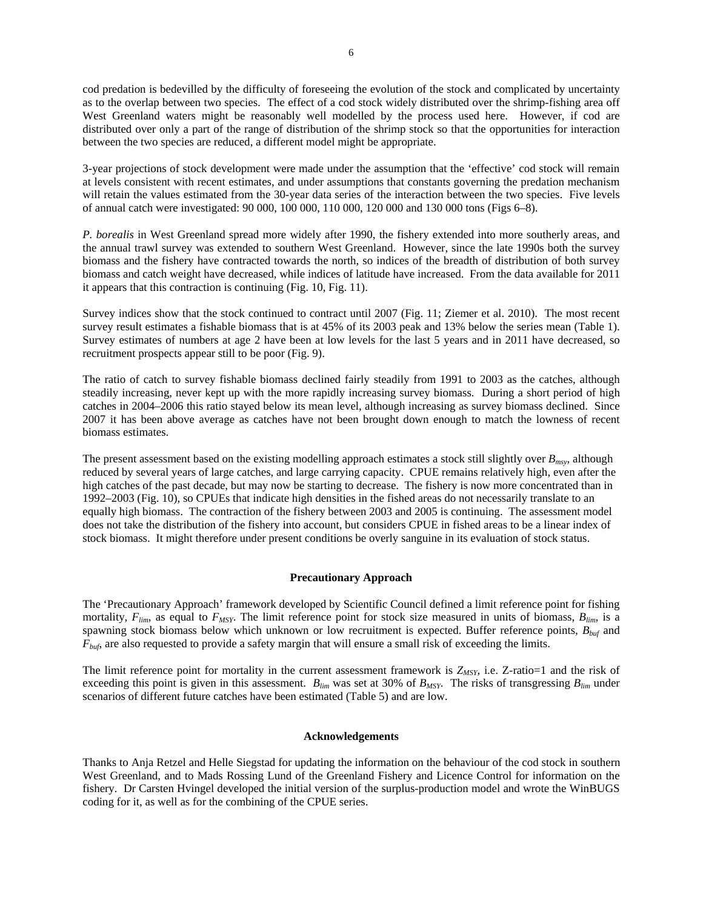cod predation is bedevilled by the difficulty of foreseeing the evolution of the stock and complicated by uncertainty as to the overlap between two species. The effect of a cod stock widely distributed over the shrimp-fishing area off West Greenland waters might be reasonably well modelled by the process used here. However, if cod are distributed over only a part of the range of distribution of the shrimp stock so that the opportunities for interaction between the two species are reduced, a different model might be appropriate.

3-year projections of stock development were made under the assumption that the 'effective' cod stock will remain at levels consistent with recent estimates, and under assumptions that constants governing the predation mechanism will retain the values estimated from the 30-year data series of the interaction between the two species. Five levels of annual catch were investigated: 90 000, 100 000, 110 000, 120 000 and 130 000 tons (Figs 6–8).

*P. borealis* in West Greenland spread more widely after 1990, the fishery extended into more southerly areas, and the annual trawl survey was extended to southern West Greenland. However, since the late 1990s both the survey biomass and the fishery have contracted towards the north, so indices of the breadth of distribution of both survey biomass and catch weight have decreased, while indices of latitude have increased. From the data available for 2011 it appears that this contraction is continuing (Fig. 10, Fig. 11).

Survey indices show that the stock continued to contract until 2007 (Fig. 11; Ziemer et al. 2010). The most recent survey result estimates a fishable biomass that is at 45% of its 2003 peak and 13% below the series mean (Table 1). Survey estimates of numbers at age 2 have been at low levels for the last 5 years and in 2011 have decreased, so recruitment prospects appear still to be poor (Fig. 9).

The ratio of catch to survey fishable biomass declined fairly steadily from 1991 to 2003 as the catches, although steadily increasing, never kept up with the more rapidly increasing survey biomass. During a short period of high catches in 2004–2006 this ratio stayed below its mean level, although increasing as survey biomass declined. Since 2007 it has been above average as catches have not been brought down enough to match the lowness of recent biomass estimates.

The present assessment based on the existing modelling approach estimates a stock still slightly over *Bmsy*, although reduced by several years of large catches, and large carrying capacity. CPUE remains relatively high, even after the high catches of the past decade, but may now be starting to decrease. The fishery is now more concentrated than in 1992–2003 (Fig. 10), so CPUEs that indicate high densities in the fished areas do not necessarily translate to an equally high biomass. The contraction of the fishery between 2003 and 2005 is continuing. The assessment model does not take the distribution of the fishery into account, but considers CPUE in fished areas to be a linear index of stock biomass. It might therefore under present conditions be overly sanguine in its evaluation of stock status.

## **Precautionary Approach**

The 'Precautionary Approach' framework developed by Scientific Council defined a limit reference point for fishing mortality,  $F_{lim}$ , as equal to  $F_{MSY}$ . The limit reference point for stock size measured in units of biomass,  $B_{lim}$ , is a spawning stock biomass below which unknown or low recruitment is expected. Buffer reference points, *Bbuf* and *Fbuf*, are also requested to provide a safety margin that will ensure a small risk of exceeding the limits.

The limit reference point for mortality in the current assessment framework is  $Z_{MSY}$ , i.e. Z-ratio=1 and the risk of exceeding this point is given in this assessment.  $B_{lim}$  was set at 30% of  $B_{MSY}$ . The risks of transgressing  $B_{lim}$  under scenarios of different future catches have been estimated (Table 5) and are low.

## **Acknowledgements**

Thanks to Anja Retzel and Helle Siegstad for updating the information on the behaviour of the cod stock in southern West Greenland, and to Mads Rossing Lund of the Greenland Fishery and Licence Control for information on the fishery. Dr Carsten Hvingel developed the initial version of the surplus-production model and wrote the WinBUGS coding for it, as well as for the combining of the CPUE series.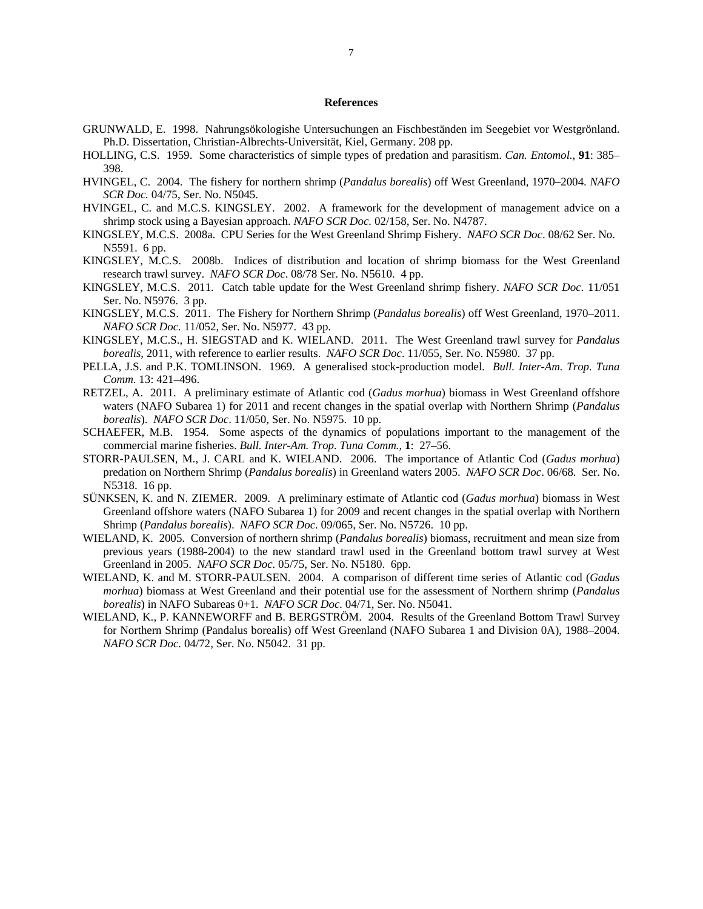## **References**

- GRUNWALD, E. 1998. Nahrungsökologishe Untersuchungen an Fischbeständen im Seegebiet vor Westgrönland. Ph.D. Dissertation, Christian-Albrechts-Universität, Kiel, Germany. 208 pp.
- HOLLING, C.S. 1959. Some characteristics of simple types of predation and parasitism. *Can. Entomol.*, **91**: 385– 398.
- HVINGEL, C. 2004. The fishery for northern shrimp (*Pandalus borealis*) off West Greenland, 1970–2004. *NAFO SCR Doc.* 04/75, Ser. No. N5045.
- HVINGEL, C. and M.C.S. KINGSLEY. 2002. A framework for the development of management advice on a shrimp stock using a Bayesian approach. *NAFO SCR Doc.* 02/158, Ser. No. N4787.
- KINGSLEY, M.C.S. 2008a. CPU Series for the West Greenland Shrimp Fishery. *NAFO SCR Doc*. 08/62 Ser. No. N5591. 6 pp.
- KINGSLEY, M.C.S. 2008b. Indices of distribution and location of shrimp biomass for the West Greenland research trawl survey. *NAFO SCR Doc*. 08/78 Ser. No. N5610. 4 pp.
- KINGSLEY, M.C.S. 2011. Catch table update for the West Greenland shrimp fishery. *NAFO SCR Doc*. 11/051 Ser. No. N5976. 3 pp.
- KINGSLEY, M.C.S. 2011. The Fishery for Northern Shrimp (*Pandalus borealis*) off West Greenland, 1970–2011. *NAFO SCR Doc.* 11/052, Ser. No. N5977. 43 pp.
- KINGSLEY, M.C.S., H. SIEGSTAD and K. WIELAND. 2011. The West Greenland trawl survey for *Pandalus borealis*, 2011, with reference to earlier results. *NAFO SCR Doc*. 11/055, Ser. No. N5980. 37 pp.
- PELLA, J.S. and P.K. TOMLINSON. 1969. A generalised stock-production model. *Bull. Inter-Am. Trop. Tuna Comm.* 13: 421–496.
- RETZEL, A. 2011. A preliminary estimate of Atlantic cod (*Gadus morhua*) biomass in West Greenland offshore waters (NAFO Subarea 1) for 2011 and recent changes in the spatial overlap with Northern Shrimp (*Pandalus borealis*). *NAFO SCR Doc*. 11/050, Ser. No. N5975. 10 pp.
- SCHAEFER, M.B. 1954. Some aspects of the dynamics of populations important to the management of the commercial marine fisheries. *Bull. Inter-Am. Trop. Tuna Comm.*, **1**: 27–56.
- STORR-PAULSEN, M., J. CARL and K. WIELAND. 2006. The importance of Atlantic Cod (*Gadus morhua*) predation on Northern Shrimp (*Pandalus borealis*) in Greenland waters 2005. *NAFO SCR Doc*. 06/68*.* Ser. No. N5318. 16 pp.
- SÜNKSEN, K. and N. ZIEMER. 2009. A preliminary estimate of Atlantic cod (*Gadus morhua*) biomass in West Greenland offshore waters (NAFO Subarea 1) for 2009 and recent changes in the spatial overlap with Northern Shrimp (*Pandalus borealis*). *NAFO SCR Doc*. 09/065, Ser. No. N5726. 10 pp.
- WIELAND, K. 2005. Conversion of northern shrimp (*Pandalus borealis*) biomass, recruitment and mean size from previous years (1988-2004) to the new standard trawl used in the Greenland bottom trawl survey at West Greenland in 2005. *NAFO SCR Doc.* 05/75, Ser. No. N5180. 6pp.
- WIELAND, K. and M. STORR-PAULSEN. 2004. A comparison of different time series of Atlantic cod (*Gadus morhua*) biomass at West Greenland and their potential use for the assessment of Northern shrimp (*Pandalus borealis*) in NAFO Subareas 0+1. *NAFO SCR Doc.* 04/71*,* Ser. No. N5041.
- WIELAND, K., P. KANNEWORFF and B. BERGSTRÖM. 2004. Results of the Greenland Bottom Trawl Survey for Northern Shrimp (Pandalus borealis) off West Greenland (NAFO Subarea 1 and Division 0A), 1988–2004. *NAFO SCR Doc.* 04/72*,* Ser. No. N5042. 31 pp.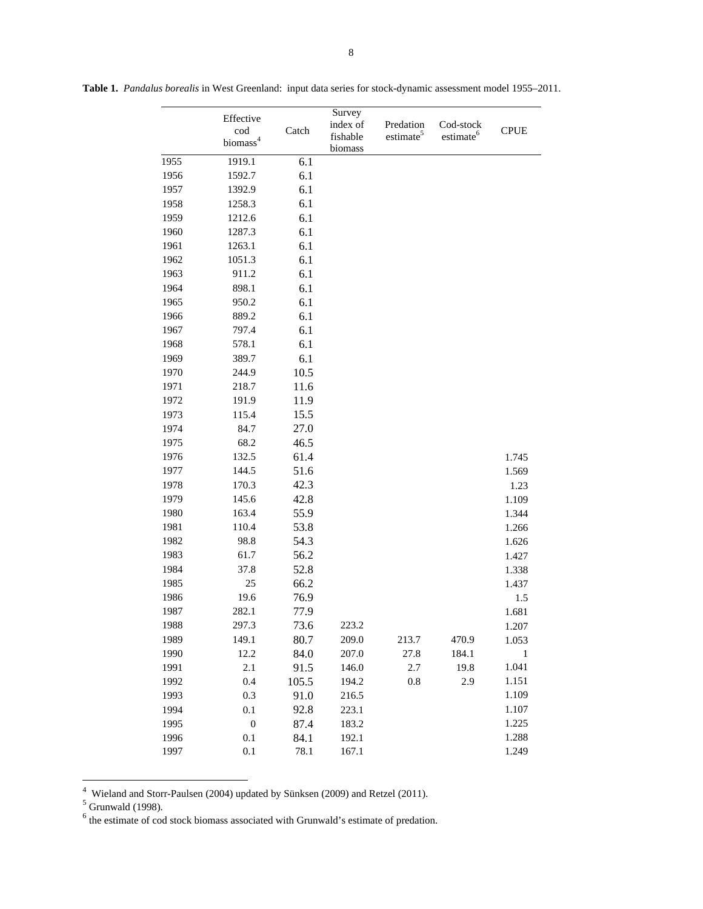|      | Effective<br>cod<br>biomass <sup>4</sup> | Catch | Survey<br>index of<br>fishable<br>biomass | Predation<br>estimate <sup>5</sup> | Cod-stock<br>estimate <sup>6</sup> | <b>CPUE</b>  |
|------|------------------------------------------|-------|-------------------------------------------|------------------------------------|------------------------------------|--------------|
| 1955 | 1919.1                                   | 6.1   |                                           |                                    |                                    |              |
| 1956 | 1592.7                                   | 6.1   |                                           |                                    |                                    |              |
| 1957 | 1392.9                                   | 6.1   |                                           |                                    |                                    |              |
| 1958 | 1258.3                                   | 6.1   |                                           |                                    |                                    |              |
| 1959 | 1212.6                                   | 6.1   |                                           |                                    |                                    |              |
| 1960 | 1287.3                                   | 6.1   |                                           |                                    |                                    |              |
| 1961 | 1263.1                                   | 6.1   |                                           |                                    |                                    |              |
| 1962 | 1051.3                                   | 6.1   |                                           |                                    |                                    |              |
| 1963 | 911.2                                    | 6.1   |                                           |                                    |                                    |              |
| 1964 | 898.1                                    | 6.1   |                                           |                                    |                                    |              |
| 1965 | 950.2                                    | 6.1   |                                           |                                    |                                    |              |
| 1966 | 889.2                                    | 6.1   |                                           |                                    |                                    |              |
| 1967 | 797.4                                    | 6.1   |                                           |                                    |                                    |              |
| 1968 | 578.1                                    | 6.1   |                                           |                                    |                                    |              |
| 1969 | 389.7                                    | 6.1   |                                           |                                    |                                    |              |
| 1970 | 244.9                                    | 10.5  |                                           |                                    |                                    |              |
| 1971 | 218.7                                    | 11.6  |                                           |                                    |                                    |              |
| 1972 | 191.9                                    | 11.9  |                                           |                                    |                                    |              |
| 1973 | 115.4                                    | 15.5  |                                           |                                    |                                    |              |
| 1974 | 84.7                                     | 27.0  |                                           |                                    |                                    |              |
| 1975 | 68.2                                     | 46.5  |                                           |                                    |                                    |              |
| 1976 | 132.5                                    | 61.4  |                                           |                                    |                                    | 1.745        |
| 1977 | 144.5                                    | 51.6  |                                           |                                    |                                    | 1.569        |
| 1978 | 170.3                                    | 42.3  |                                           |                                    |                                    | 1.23         |
| 1979 | 145.6                                    | 42.8  |                                           |                                    |                                    | 1.109        |
| 1980 | 163.4                                    | 55.9  |                                           |                                    |                                    | 1.344        |
| 1981 | 110.4                                    | 53.8  |                                           |                                    |                                    | 1.266        |
| 1982 | 98.8                                     | 54.3  |                                           |                                    |                                    | 1.626        |
| 1983 | 61.7                                     | 56.2  |                                           |                                    |                                    | 1.427        |
| 1984 | 37.8                                     | 52.8  |                                           |                                    |                                    | 1.338        |
| 1985 | 25                                       | 66.2  |                                           |                                    |                                    | 1.437        |
| 1986 | 19.6                                     | 76.9  |                                           |                                    |                                    | 1.5          |
| 1987 | 282.1                                    | 77.9  |                                           |                                    |                                    | 1.681        |
| 1988 | 297.3                                    | 73.6  | 223.2                                     |                                    |                                    | 1.207        |
| 1989 | 149.1                                    | 80.7  | 209.0                                     | 213.7                              | 470.9                              | 1.053        |
| 1990 | 12.2                                     | 84.0  | 207.0                                     | 27.8                               | 184.1                              | $\mathbf{1}$ |
| 1991 | 2.1                                      | 91.5  | 146.0                                     | 2.7                                | 19.8                               | 1.041        |
| 1992 | 0.4                                      | 105.5 | 194.2                                     | 0.8                                | 2.9                                | 1.151        |
| 1993 | 0.3                                      | 91.0  | 216.5                                     |                                    |                                    | 1.109        |
| 1994 | 0.1                                      | 92.8  | 223.1                                     |                                    |                                    | 1.107        |
| 1995 | $\boldsymbol{0}$                         | 87.4  | 183.2                                     |                                    |                                    | 1.225        |
| 1996 | 0.1                                      | 84.1  | 192.1                                     |                                    |                                    | 1.288        |
| 1997 | 0.1                                      | 78.1  | 167.1                                     |                                    |                                    | 1.249        |

**Table 1.** *Pandalus borealis* in West Greenland:input data series for stock-dynamic assessment model 1955–2011.

<sup>4&</sup>lt;br>
<sup>4</sup> Wieland and Storr-Paulsen (2004) updated by Sünksen (2009) and Retzel (2011).<br>
<sup>5</sup> Grunwald (1998).<br>
<sup>6</sup> the estimate of cod stock biomass associated with Grunwald's estimate of predation.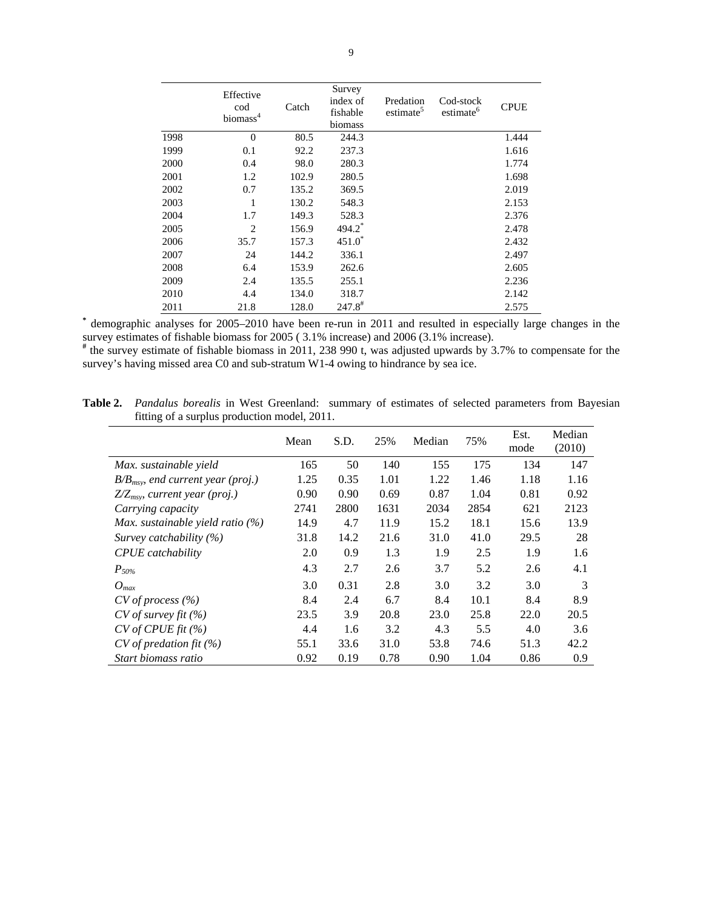|      | Effective                   |       | Survey                          |                                    |                                    |             |
|------|-----------------------------|-------|---------------------------------|------------------------------------|------------------------------------|-------------|
|      | cod<br>biomass <sup>4</sup> | Catch | index of<br>fishable<br>biomass | Predation<br>estimate <sup>5</sup> | Cod-stock<br>estimate <sup>6</sup> | <b>CPUE</b> |
| 1998 | $\Omega$                    | 80.5  | 244.3                           |                                    |                                    | 1.444       |
| 1999 | 0.1                         | 92.2  | 237.3                           |                                    |                                    | 1.616       |
| 2000 | 0.4                         | 98.0  | 280.3                           |                                    |                                    | 1.774       |
| 2001 | 1.2                         | 102.9 | 280.5                           |                                    |                                    | 1.698       |
| 2002 | 0.7                         | 135.2 | 369.5                           |                                    |                                    | 2.019       |
| 2003 | 1                           | 130.2 | 548.3                           |                                    |                                    | 2.153       |
| 2004 | 1.7                         | 149.3 | 528.3                           |                                    |                                    | 2.376       |
| 2005 | 2                           | 156.9 | 494.2                           |                                    |                                    | 2.478       |
| 2006 | 35.7                        | 157.3 | $451.0*$                        |                                    |                                    | 2.432       |
| 2007 | 24                          | 144.2 | 336.1                           |                                    |                                    | 2.497       |
| 2008 | 6.4                         | 153.9 | 262.6                           |                                    |                                    | 2.605       |
| 2009 | 2.4                         | 135.5 | 255.1                           |                                    |                                    | 2.236       |
| 2010 | 4.4                         | 134.0 | 318.7                           |                                    |                                    | 2.142       |
| 2011 | 21.8                        | 128.0 | $247.8$ <sup>#</sup>            |                                    |                                    | 2.575       |

**\*** demographic analyses for 2005–2010 have been re-run in 2011 and resulted in especially large changes in the

survey estimates of fishable biomass for 2005 (3.1% increase) and 2006 (3.1% increase).<br>
<sup>#</sup> the survey estimate of fishable biomass in 2011, 238 990 t, was adjusted upwards by 3.7% to compensate for the survey's having missed area C0 and sub-stratum W1-4 owing to hindrance by sea ice.

| <b>Table 2.</b> Pandalus borealis in West Greenland: summary of estimates of selected parameters from Bayesian |  |  |  |  |
|----------------------------------------------------------------------------------------------------------------|--|--|--|--|
| fitting of a surplus production model, 2011.                                                                   |  |  |  |  |

|                                               | Mean | S.D. | 25%  | Median | 75%  | Est.<br>mode | Median<br>(2010) |
|-----------------------------------------------|------|------|------|--------|------|--------------|------------------|
| Max. sustainable yield                        | 165  | 50   | 140  | 155    | 175  | 134          | 147              |
| $B/B_{\text{msv}}$ , end current year (proj.) | 1.25 | 0.35 | 1.01 | 1.22   | 1.46 | 1.18         | 1.16             |
| $Z/Z_{msv}$ , current year (proj.)            | 0.90 | 0.90 | 0.69 | 0.87   | 1.04 | 0.81         | 0.92             |
| Carrying capacity                             | 2741 | 2800 | 1631 | 2034   | 2854 | 621          | 2123             |
| Max. sustainable yield ratio $(\%)$           | 14.9 | 4.7  | 11.9 | 15.2   | 18.1 | 15.6         | 13.9             |
| Survey catchability $(\%)$                    | 31.8 | 14.2 | 21.6 | 31.0   | 41.0 | 29.5         | 28               |
| <b>CPUE</b> catchability                      | 2.0  | 0.9  | 1.3  | 1.9    | 2.5  | 1.9          | 1.6              |
| $P_{50\%}$                                    | 4.3  | 2.7  | 2.6  | 3.7    | 5.2  | 2.6          | 4.1              |
| $O_{max}$                                     | 3.0  | 0.31 | 2.8  | 3.0    | 3.2  | 3.0          | 3                |
| $CV$ of process $(\% )$                       | 8.4  | 2.4  | 6.7  | 8.4    | 10.1 | 8.4          | 8.9              |
| $CV$ of survey fit $(\% )$                    | 23.5 | 3.9  | 20.8 | 23.0   | 25.8 | 22.0         | 20.5             |
| $CV$ of CPUE fit $(\% )$                      | 4.4  | 1.6  | 3.2  | 4.3    | 5.5  | 4.0          | 3.6              |
| $CV$ of predation fit $(\%)$                  | 55.1 | 33.6 | 31.0 | 53.8   | 74.6 | 51.3         | 42.2             |
| Start biomass ratio                           | 0.92 | 0.19 | 0.78 | 0.90   | 1.04 | 0.86         | 0.9              |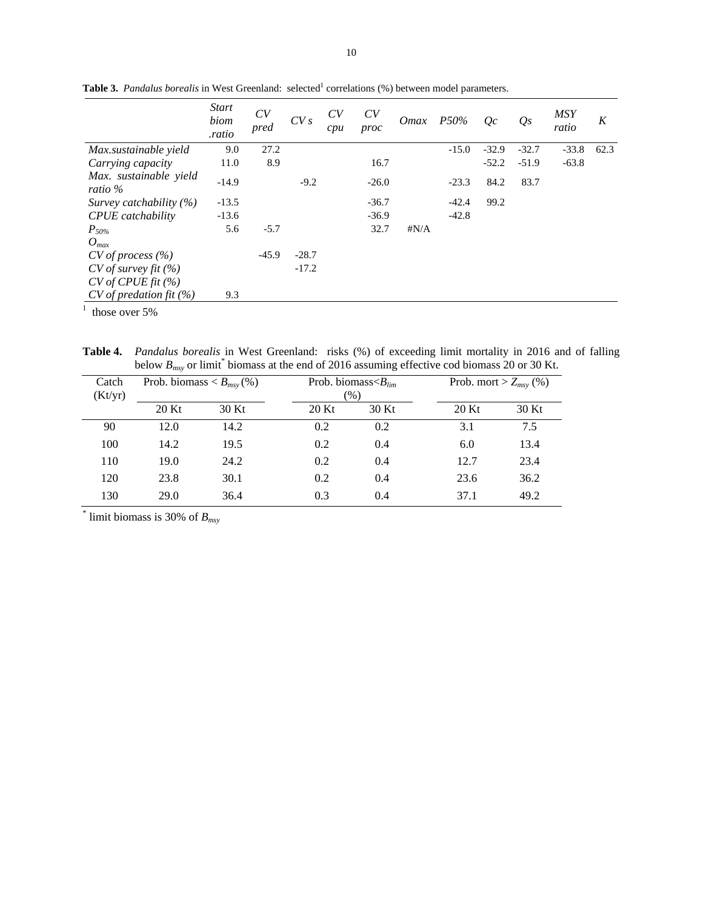|                                   | <b>Start</b><br>biom<br>.ratio | CV<br>pred | CVs     | CV<br>cpu | CV<br>proc | <i>Omax</i>  | P50%    | Oc      | $Q_{S}$ | <b>MSY</b><br>ratio | K    |
|-----------------------------------|--------------------------------|------------|---------|-----------|------------|--------------|---------|---------|---------|---------------------|------|
| Max.sustainable yield             | 9.0                            | 27.2       |         |           |            |              | $-15.0$ | $-32.9$ | $-32.7$ | $-33.8$             | 62.3 |
| Carrying capacity                 | 11.0                           | 8.9        |         |           | 16.7       |              |         | $-52.2$ | $-51.9$ | $-63.8$             |      |
| Max. sustainable yield<br>ratio % | $-14.9$                        |            | $-9.2$  |           | $-26.0$    |              | $-23.3$ | 84.2    | 83.7    |                     |      |
| Survey catchability $(\%)$        | $-13.5$                        |            |         |           | $-36.7$    |              | $-42.4$ | 99.2    |         |                     |      |
| <b>CPUE</b> catchability          | $-13.6$                        |            |         |           | $-36.9$    |              | $-42.8$ |         |         |                     |      |
| $P_{50\%}$                        | 5.6                            | $-5.7$     |         |           | 32.7       | $\sharp N/A$ |         |         |         |                     |      |
| $O_{max}$                         |                                |            |         |           |            |              |         |         |         |                     |      |
| $CV$ of process $(\% )$           |                                | $-45.9$    | $-28.7$ |           |            |              |         |         |         |                     |      |
| $CV$ of survey fit $(\% )$        |                                |            | $-17.2$ |           |            |              |         |         |         |                     |      |
| $CV$ of CPUE fit $(\% )$          |                                |            |         |           |            |              |         |         |         |                     |      |
| $CV$ of predation fit $(\%)$      | 9.3                            |            |         |           |            |              |         |         |         |                     |      |

**Table 3.** *Pandalus borealis* in West Greenland: selected<sup>1</sup> correlations (%) between model parameters.

 $<sup>1</sup>$  those over 5%</sup>

**Table 4.** *Pandalus borealis* in West Greenland: risks (%) of exceeding limit mortality in 2016 and of falling below  $B_{msv}$  or limit\* biomass at the end of 2016 assuming effective cod biomass 20 or 30 Kt.

| Catch<br>(Kt/yr) | Prob. biomass $\lt B_{msy}$ (%) |       |         | Prob. biomass $\langle B_{lim}$<br>$(\%)$ |         | Prob. mort > $Z_{msv}$ (%) |  |
|------------------|---------------------------------|-------|---------|-------------------------------------------|---------|----------------------------|--|
|                  | $20$ Kt                         | 30 Kt | $20$ Kt | 30 Kt                                     | $20$ Kt | 30 Kt                      |  |
| 90               | 12.0                            | 14.2  | 0.2     | 0.2                                       | 3.1     | 7.5                        |  |
| 100              | 14.2                            | 19.5  | 0.2     | 0.4                                       | 6.0     | 13.4                       |  |
| 110              | 19.0                            | 24.2  | 0.2     | 0.4                                       | 12.7    | 23.4                       |  |
| 120              | 23.8                            | 30.1  | 0.2     | 0.4                                       | 23.6    | 36.2                       |  |
| 130              | 29.0                            | 36.4  | 0.3     | 0.4                                       | 37.1    | 49.2                       |  |

\* limit biomass is 30% of *Bmsy*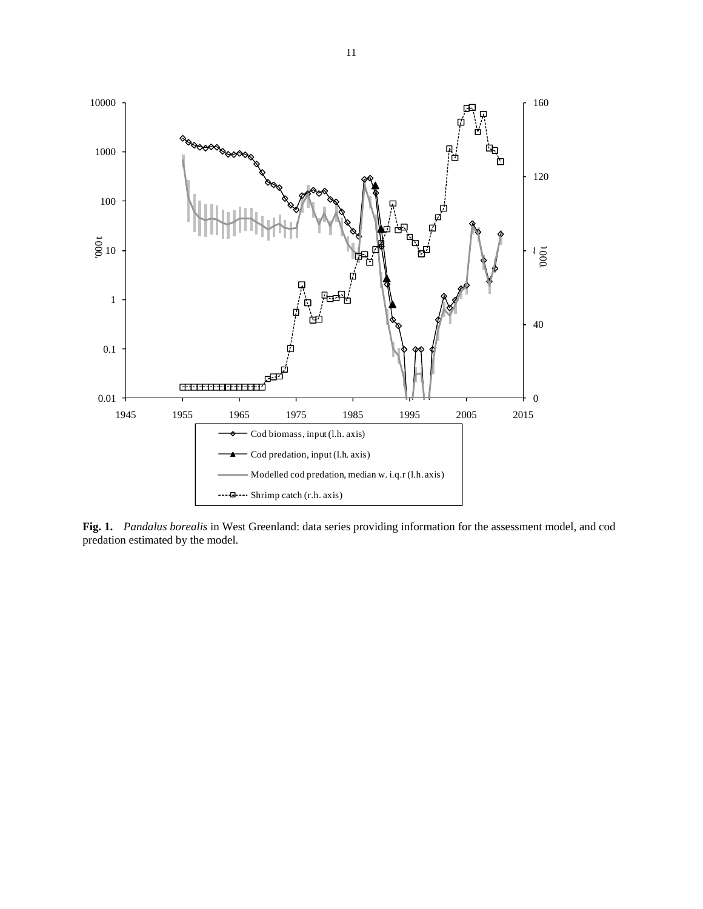

**Fig. 1.** *Pandalus borealis* in West Greenland: data series providing information for the assessment model, and cod predation estimated by the model.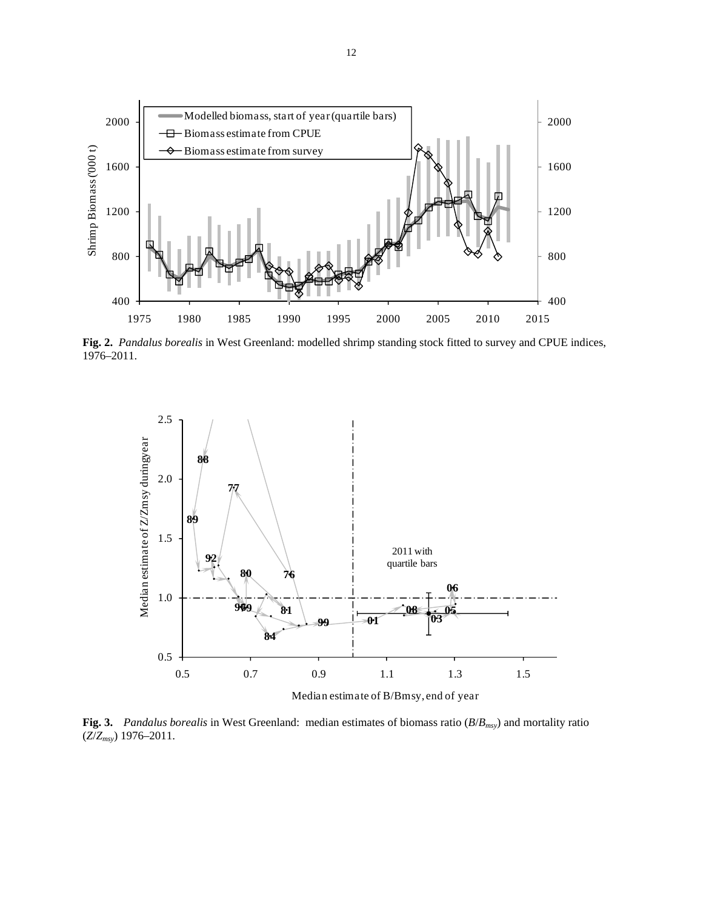

**Fig. 2.** *Pandalus borealis* in West Greenland: modelled shrimp standing stock fitted to survey and CPUE indices, 1976–2011.



**Fig. 3.** *Pandalus borealis* in West Greenland: median estimates of biomass ratio (*B*/*Bmsy*) and mortality ratio (*Z*/*Zmsy*) 1976–2011.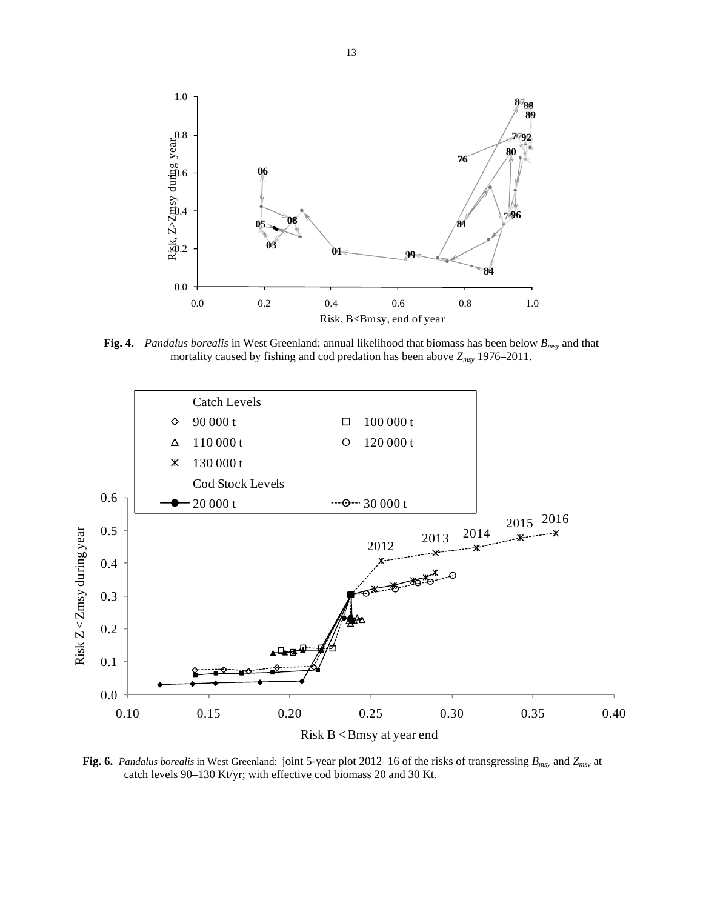

**Fig. 4.** *Pandalus borealis* in West Greenland: annual likelihood that biomass has been below *Bmsy* and that mortality caused by fishing and cod predation has been above *Zmsy* 1976–2011.



**Fig. 6.** *Pandalus borealis* in West Greenland: joint 5-year plot 2012–16 of the risks of transgressing *Bmsy* and *Zmsy* at catch levels 90–130 Kt/yr; with effective cod biomass 20 and 30 Kt.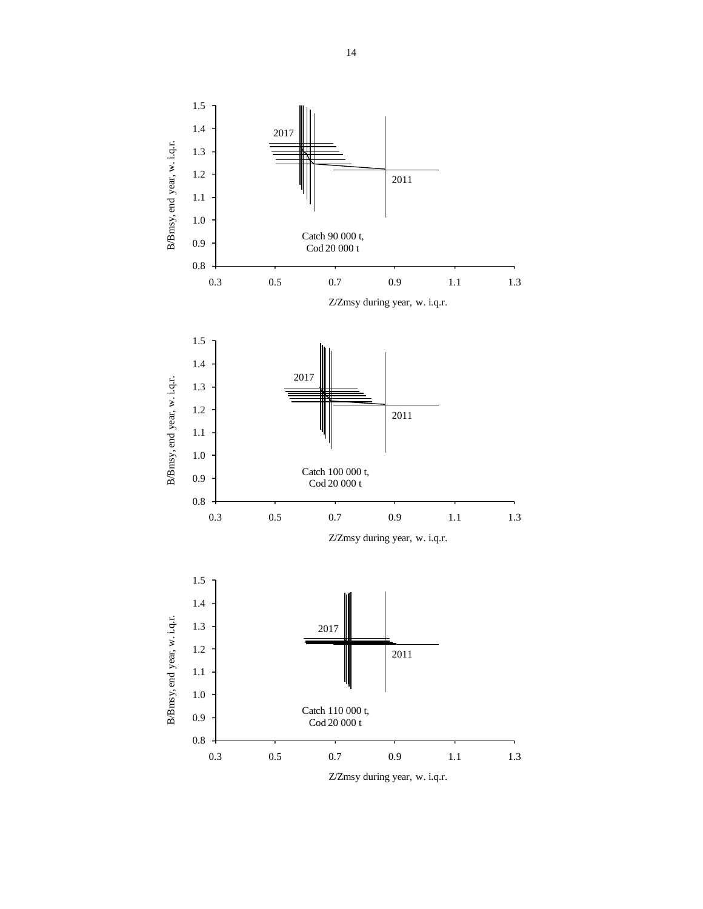

14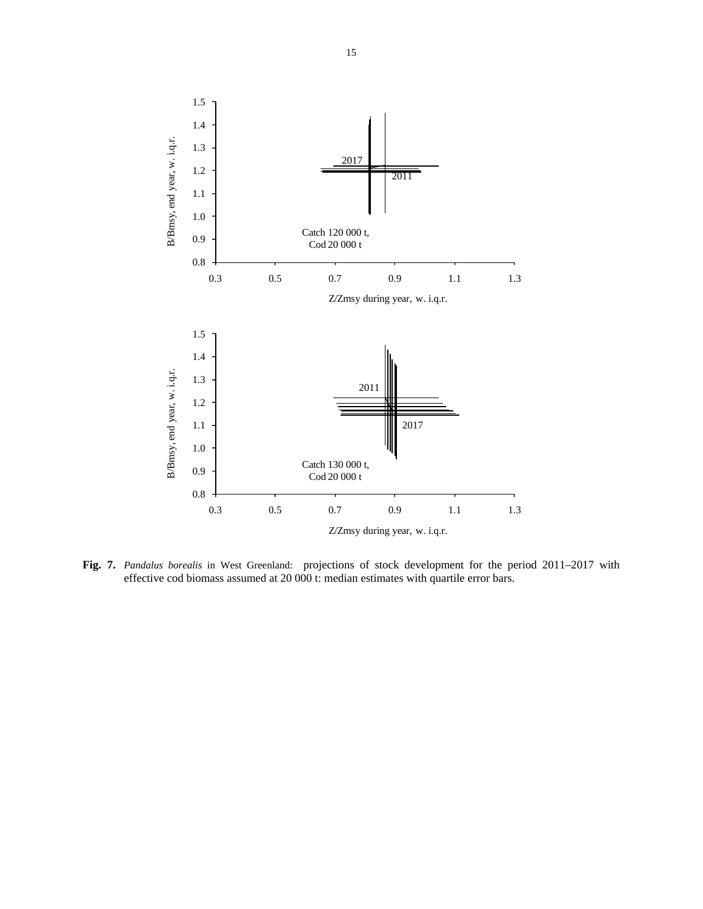

**Fig. 7.** *Pandalus borealis* in West Greenland: projections of stock development for the period 2011–2017 with effective cod biomass assumed at 20 000 t: median estimates with quartile error bars.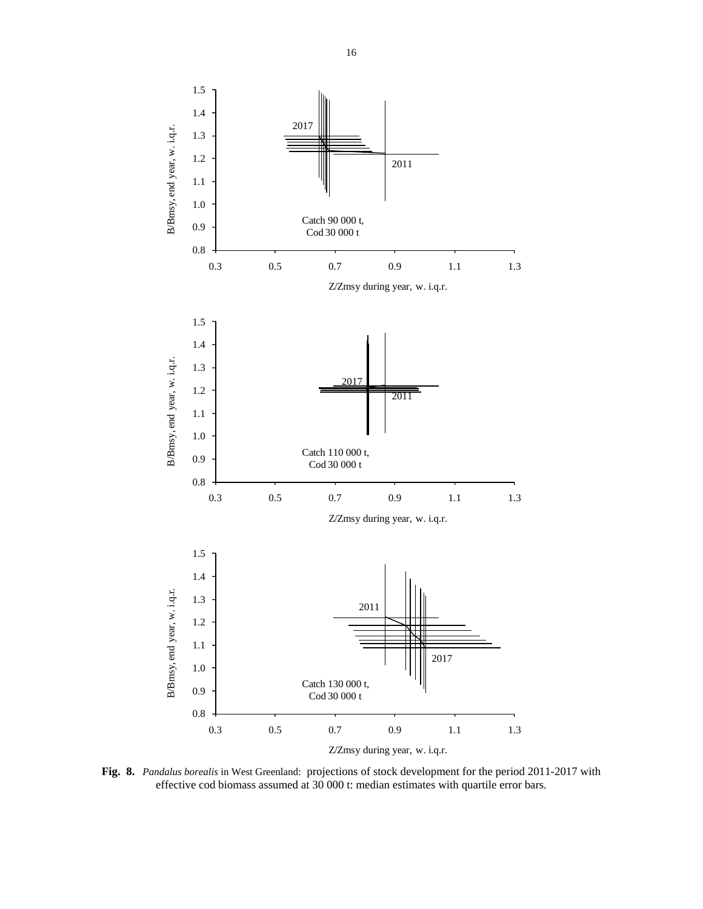

**Fig. 8.** *Pandalus borealis* in West Greenland: projections of stock development for the period 2011-2017 with effective cod biomass assumed at 30 000 t: median estimates with quartile error bars.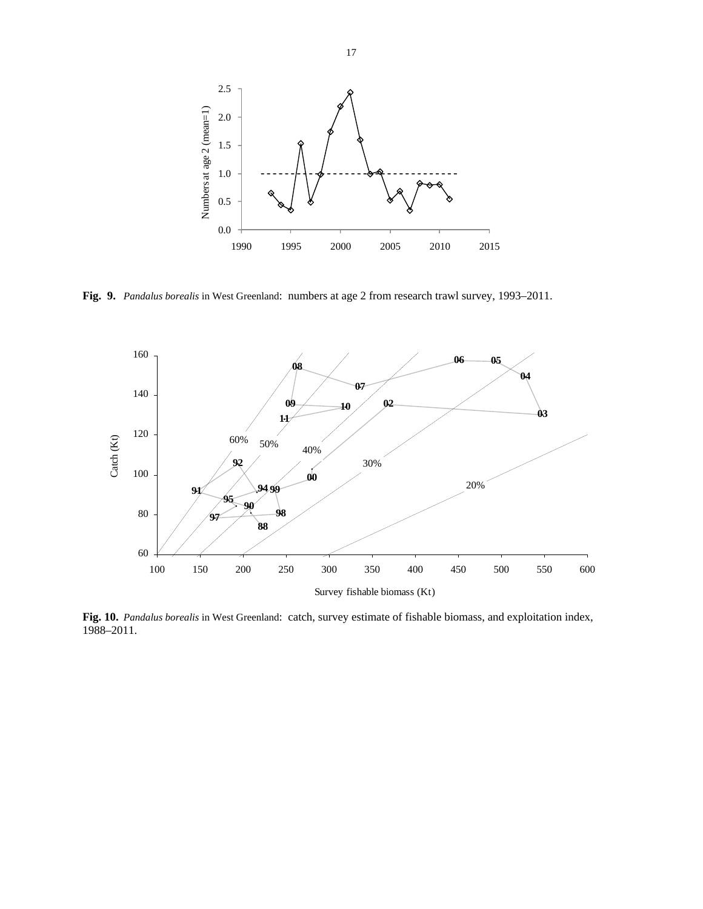

**Fig. 9.** *Pandalus borealis* in West Greenland: numbers at age 2 from research trawl survey, 1993–2011.



**Fig. 10.** *Pandalus borealis* in West Greenland: catch, survey estimate of fishable biomass, and exploitation index, 1988–2011.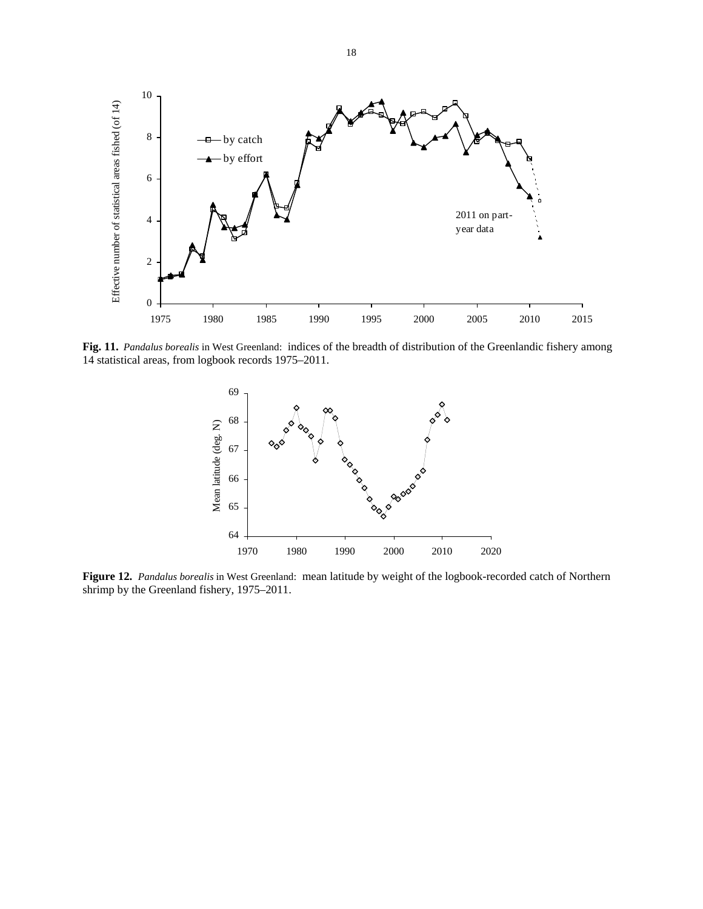

**Fig. 11.** *Pandalus borealis* in West Greenland: indices of the breadth of distribution of the Greenlandic fishery among 14 statistical areas, from logbook records 1975–2011.



**Figure 12.** *Pandalus borealis* in West Greenland: mean latitude by weight of the logbook-recorded catch of Northern shrimp by the Greenland fishery, 1975–2011.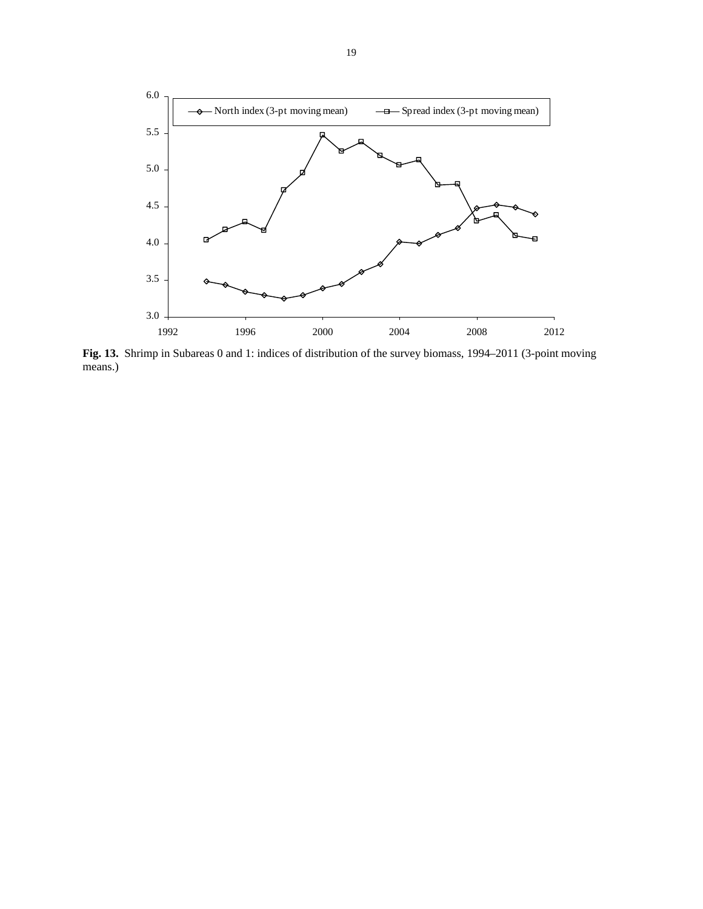

**Fig. 13.** Shrimp in Subareas 0 and 1: indices of distribution of the survey biomass, 1994–2011 (3-point moving means.)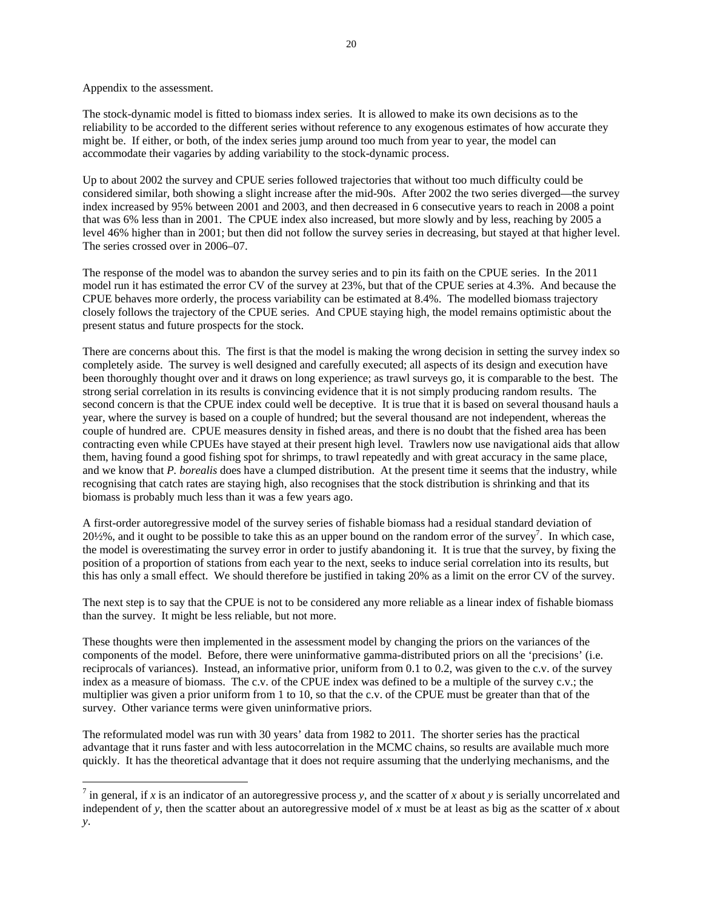Appendix to the assessment.

 $\overline{a}$ 

The stock-dynamic model is fitted to biomass index series. It is allowed to make its own decisions as to the reliability to be accorded to the different series without reference to any exogenous estimates of how accurate they might be. If either, or both, of the index series jump around too much from year to year, the model can accommodate their vagaries by adding variability to the stock-dynamic process.

Up to about 2002 the survey and CPUE series followed trajectories that without too much difficulty could be considered similar, both showing a slight increase after the mid-90s. After 2002 the two series diverged—the survey index increased by 95% between 2001 and 2003, and then decreased in 6 consecutive years to reach in 2008 a point that was 6% less than in 2001. The CPUE index also increased, but more slowly and by less, reaching by 2005 a level 46% higher than in 2001; but then did not follow the survey series in decreasing, but stayed at that higher level. The series crossed over in 2006–07.

The response of the model was to abandon the survey series and to pin its faith on the CPUE series. In the 2011 model run it has estimated the error CV of the survey at 23%, but that of the CPUE series at 4.3%. And because the CPUE behaves more orderly, the process variability can be estimated at 8.4%. The modelled biomass trajectory closely follows the trajectory of the CPUE series. And CPUE staying high, the model remains optimistic about the present status and future prospects for the stock.

There are concerns about this. The first is that the model is making the wrong decision in setting the survey index so completely aside. The survey is well designed and carefully executed; all aspects of its design and execution have been thoroughly thought over and it draws on long experience; as trawl surveys go, it is comparable to the best. The strong serial correlation in its results is convincing evidence that it is not simply producing random results. The second concern is that the CPUE index could well be deceptive. It is true that it is based on several thousand hauls a year, where the survey is based on a couple of hundred; but the several thousand are not independent, whereas the couple of hundred are. CPUE measures density in fished areas, and there is no doubt that the fished area has been contracting even while CPUEs have stayed at their present high level. Trawlers now use navigational aids that allow them, having found a good fishing spot for shrimps, to trawl repeatedly and with great accuracy in the same place, and we know that *P. borealis* does have a clumped distribution. At the present time it seems that the industry, while recognising that catch rates are staying high, also recognises that the stock distribution is shrinking and that its biomass is probably much less than it was a few years ago.

A first-order autoregressive model of the survey series of fishable biomass had a residual standard deviation of  $20\frac{1}{2}\%$ , and it ought to be possible to take this as an upper bound on the random error of the survey<sup>7</sup>. In which case, the model is overestimating the survey error in order to justify abandoning it. It is true that the survey, by fixing the position of a proportion of stations from each year to the next, seeks to induce serial correlation into its results, but this has only a small effect. We should therefore be justified in taking 20% as a limit on the error CV of the survey.

The next step is to say that the CPUE is not to be considered any more reliable as a linear index of fishable biomass than the survey. It might be less reliable, but not more.

These thoughts were then implemented in the assessment model by changing the priors on the variances of the components of the model. Before, there were uninformative gamma-distributed priors on all the 'precisions' (i.e. reciprocals of variances). Instead, an informative prior, uniform from 0.1 to 0.2, was given to the c.v. of the survey index as a measure of biomass. The c.v. of the CPUE index was defined to be a multiple of the survey c.v.; the multiplier was given a prior uniform from 1 to 10, so that the c.v. of the CPUE must be greater than that of the survey. Other variance terms were given uninformative priors.

The reformulated model was run with 30 years' data from 1982 to 2011. The shorter series has the practical advantage that it runs faster and with less autocorrelation in the MCMC chains, so results are available much more quickly. It has the theoretical advantage that it does not require assuming that the underlying mechanisms, and the

<sup>&</sup>lt;sup>7</sup> in general, if *x* is an indicator of an autoregressive process *y*, and the scatter of *x* about *y* is serially uncorrelated and independent of *y*, then the scatter about an autoregressive model of *x* must be at least as big as the scatter of *x* about *y*.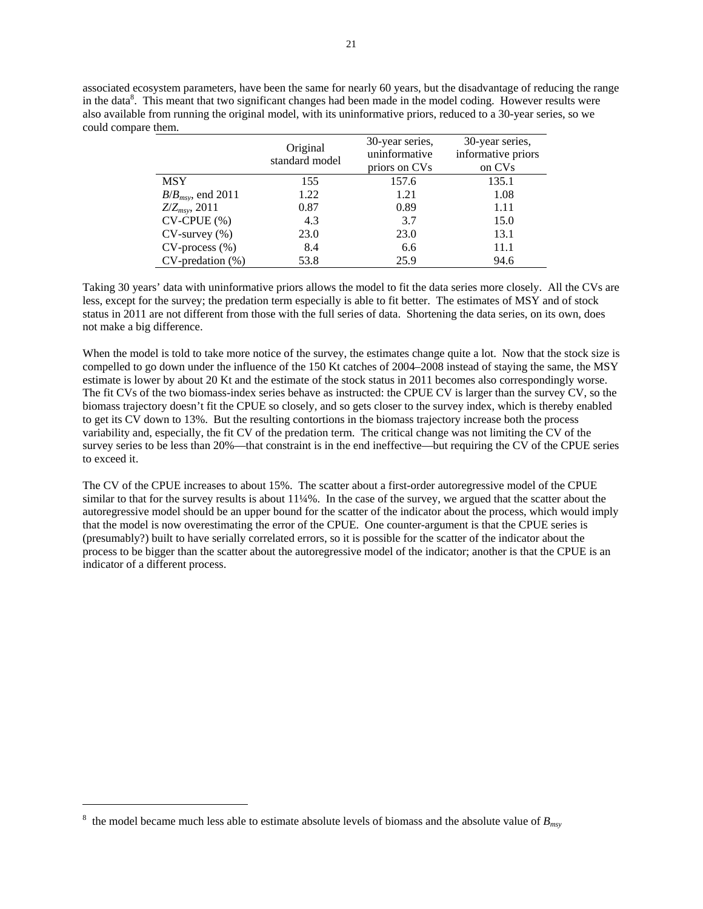associated ecosystem parameters, have been the same for nearly 60 years, but the disadvantage of reducing the range in the data<sup>8</sup>. This meant that two significant changes had been made in the model coding. However results were also available from running the original model, with its uninformative priors, reduced to a 30-year series, so we could compare them.

|                        | Original<br>standard model | 30-year series,<br>uninformative<br>priors on CVs | 30-year series,<br>informative priors<br>on CVs |
|------------------------|----------------------------|---------------------------------------------------|-------------------------------------------------|
| <b>MSY</b>             | 155                        | 157.6                                             | 135.1                                           |
| $B/B_{msv}$ , end 2011 | 1.22                       | 1.21                                              | 1.08                                            |
| $Z/Z_{msv}$ , 2011     | 0.87                       | 0.89                                              | 1.11                                            |
| $CV-CPUE$ $%$          | 4.3                        | 3.7                                               | 15.0                                            |
| $CV$ -survey $(\% )$   | 23.0                       | 23.0                                              | 13.1                                            |
| $CV-process (%)$       | 8.4                        | 6.6                                               | 11.1                                            |
| $CV-prediction (%)$    | 53.8                       | 25.9                                              | 94.6                                            |

Taking 30 years' data with uninformative priors allows the model to fit the data series more closely. All the CVs are less, except for the survey; the predation term especially is able to fit better. The estimates of MSY and of stock status in 2011 are not different from those with the full series of data. Shortening the data series, on its own, does not make a big difference.

When the model is told to take more notice of the survey, the estimates change quite a lot. Now that the stock size is compelled to go down under the influence of the 150 Kt catches of 2004–2008 instead of staying the same, the MSY estimate is lower by about 20 Kt and the estimate of the stock status in 2011 becomes also correspondingly worse. The fit CVs of the two biomass-index series behave as instructed: the CPUE CV is larger than the survey CV, so the biomass trajectory doesn't fit the CPUE so closely, and so gets closer to the survey index, which is thereby enabled to get its CV down to 13%. But the resulting contortions in the biomass trajectory increase both the process variability and, especially, the fit CV of the predation term. The critical change was not limiting the CV of the survey series to be less than 20%—that constraint is in the end ineffective—but requiring the CV of the CPUE series to exceed it.

The CV of the CPUE increases to about 15%. The scatter about a first-order autoregressive model of the CPUE similar to that for the survey results is about 11¼%. In the case of the survey, we argued that the scatter about the autoregressive model should be an upper bound for the scatter of the indicator about the process, which would imply that the model is now overestimating the error of the CPUE. One counter-argument is that the CPUE series is (presumably?) built to have serially correlated errors, so it is possible for the scatter of the indicator about the process to be bigger than the scatter about the autoregressive model of the indicator; another is that the CPUE is an indicator of a different process.

 $\overline{a}$ 

<sup>&</sup>lt;sup>8</sup> the model became much less able to estimate absolute levels of biomass and the absolute value of  $B_{\text{msv}}$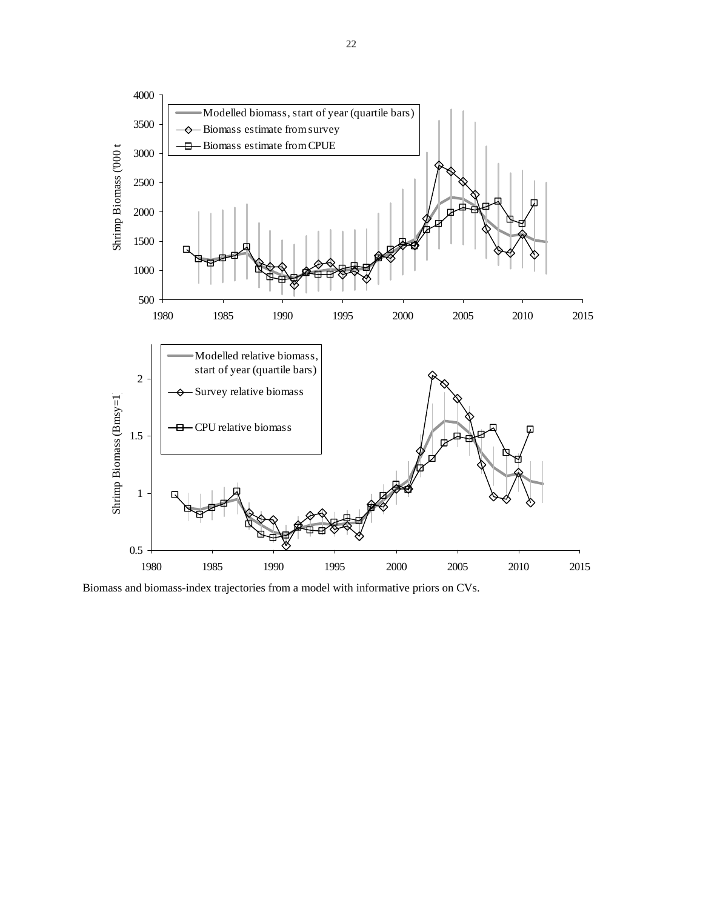

Biomass and biomass-index trajectories from a model with informative priors on CVs.